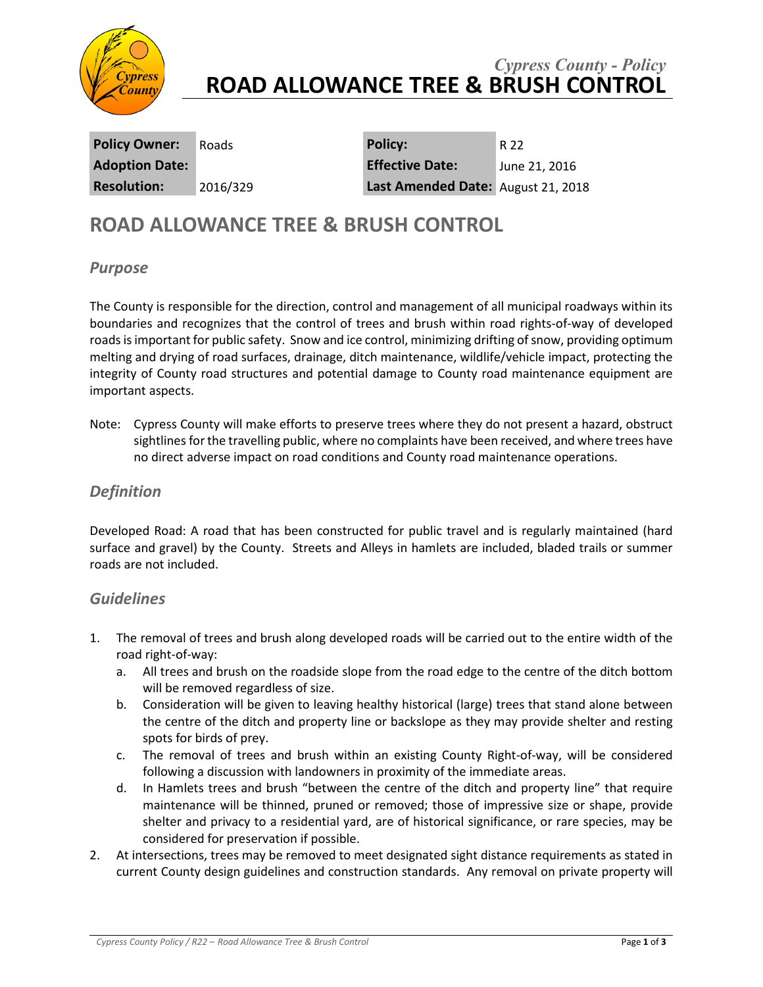

### *Cypress County - Policy* **ROAD ALLOWANCE TREE & BRUSH CONTROL**

**Policy Owner:** Roads **Policy:** R 22 **Adoption Date: Effective Date:** June 21, 2016 **Resolution:** 2016/329 **Last Amended Date:** August 21, 2018

# **ROAD ALLOWANCE TREE & BRUSH CONTROL**

#### *Purpose*

The County is responsible for the direction, control and management of all municipal roadways within its boundaries and recognizes that the control of trees and brush within road rights-of-way of developed roads is important for public safety. Snow and ice control, minimizing drifting of snow, providing optimum melting and drying of road surfaces, drainage, ditch maintenance, wildlife/vehicle impact, protecting the integrity of County road structures and potential damage to County road maintenance equipment are important aspects.

Note: Cypress County will make efforts to preserve trees where they do not present a hazard, obstruct sightlines for the travelling public, where no complaints have been received, and where trees have no direct adverse impact on road conditions and County road maintenance operations.

#### *Definition*

Developed Road: A road that has been constructed for public travel and is regularly maintained (hard surface and gravel) by the County. Streets and Alleys in hamlets are included, bladed trails or summer roads are not included.

#### *Guidelines*

- 1. The removal of trees and brush along developed roads will be carried out to the entire width of the road right-of-way:
	- a. All trees and brush on the roadside slope from the road edge to the centre of the ditch bottom will be removed regardless of size.
	- b. Consideration will be given to leaving healthy historical (large) trees that stand alone between the centre of the ditch and property line or backslope as they may provide shelter and resting spots for birds of prey.
	- c. The removal of trees and brush within an existing County Right-of-way, will be considered following a discussion with landowners in proximity of the immediate areas.
	- d. In Hamlets trees and brush "between the centre of the ditch and property line" that require maintenance will be thinned, pruned or removed; those of impressive size or shape, provide shelter and privacy to a residential yard, are of historical significance, or rare species, may be considered for preservation if possible.
- 2. At intersections, trees may be removed to meet designated sight distance requirements as stated in current County design guidelines and construction standards. Any removal on private property will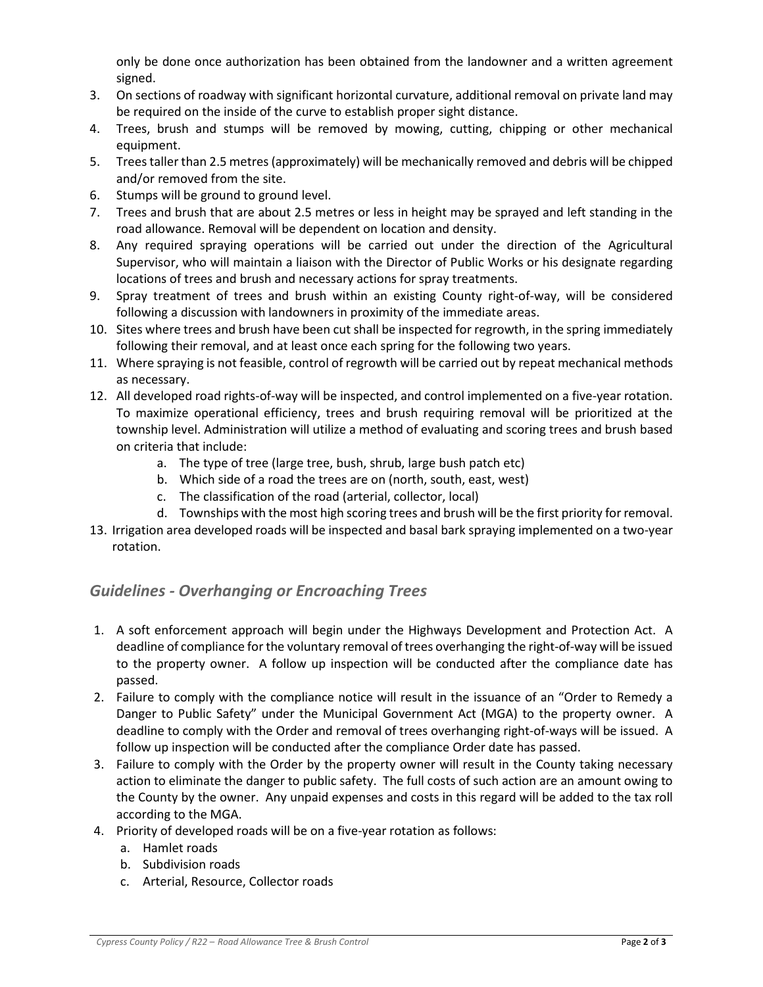only be done once authorization has been obtained from the landowner and a written agreement signed.

- 3. On sections of roadway with significant horizontal curvature, additional removal on private land may be required on the inside of the curve to establish proper sight distance.
- 4. Trees, brush and stumps will be removed by mowing, cutting, chipping or other mechanical equipment.
- 5. Trees taller than 2.5 metres (approximately) will be mechanically removed and debris will be chipped and/or removed from the site.
- 6. Stumps will be ground to ground level.
- 7. Trees and brush that are about 2.5 metres or less in height may be sprayed and left standing in the road allowance. Removal will be dependent on location and density.
- 8. Any required spraying operations will be carried out under the direction of the Agricultural Supervisor, who will maintain a liaison with the Director of Public Works or his designate regarding locations of trees and brush and necessary actions for spray treatments.
- 9. Spray treatment of trees and brush within an existing County right-of-way, will be considered following a discussion with landowners in proximity of the immediate areas.
- 10. Sites where trees and brush have been cut shall be inspected for regrowth, in the spring immediately following their removal, and at least once each spring for the following two years.
- 11. Where spraying is not feasible, control of regrowth will be carried out by repeat mechanical methods as necessary.
- 12. All developed road rights-of-way will be inspected, and control implemented on a five-year rotation. To maximize operational efficiency, trees and brush requiring removal will be prioritized at the township level. Administration will utilize a method of evaluating and scoring trees and brush based on criteria that include:
	- a. The type of tree (large tree, bush, shrub, large bush patch etc)
	- b. Which side of a road the trees are on (north, south, east, west)
	- c. The classification of the road (arterial, collector, local)
	- d. Townships with the most high scoring trees and brush will be the first priority for removal.
- 13. Irrigation area developed roads will be inspected and basal bark spraying implemented on a two-year rotation.

### *Guidelines - Overhanging or Encroaching Trees*

- 1. A soft enforcement approach will begin under the Highways Development and Protection Act. A deadline of compliance for the voluntary removal of trees overhanging the right-of-way will be issued to the property owner. A follow up inspection will be conducted after the compliance date has passed.
- 2. Failure to comply with the compliance notice will result in the issuance of an "Order to Remedy a Danger to Public Safety" under the Municipal Government Act (MGA) to the property owner. A deadline to comply with the Order and removal of trees overhanging right-of-ways will be issued. A follow up inspection will be conducted after the compliance Order date has passed.
- 3. Failure to comply with the Order by the property owner will result in the County taking necessary action to eliminate the danger to public safety. The full costs of such action are an amount owing to the County by the owner. Any unpaid expenses and costs in this regard will be added to the tax roll according to the MGA.
- 4. Priority of developed roads will be on a five-year rotation as follows:
	- a. Hamlet roads
	- b. Subdivision roads
	- c. Arterial, Resource, Collector roads